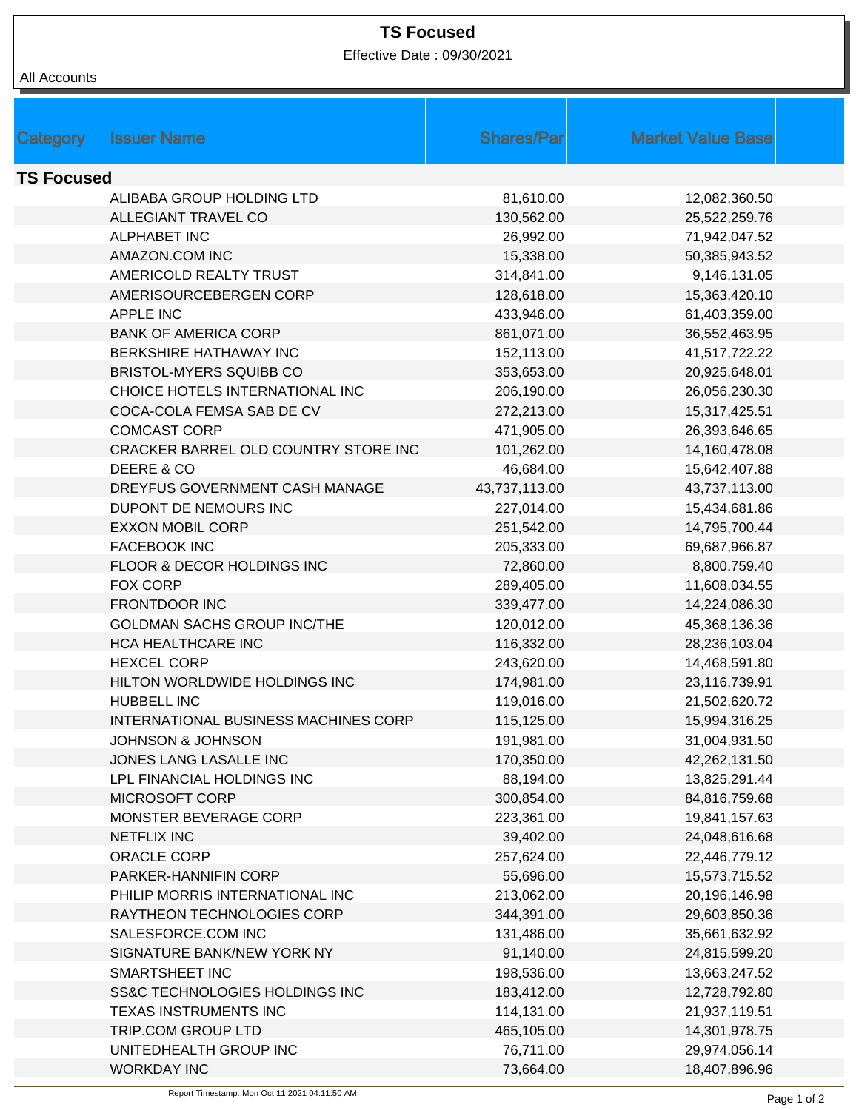## **TS Focused**

Effective Date : 09/30/2021

| All Accounts |
|--------------|
|              |

|                   | <b>Issuer Name</b>                   | <b>Shares/Parl</b> | <b>Market Value Base</b> |  |  |  |  |
|-------------------|--------------------------------------|--------------------|--------------------------|--|--|--|--|
| Category          |                                      |                    |                          |  |  |  |  |
| <b>TS Focused</b> |                                      |                    |                          |  |  |  |  |
|                   | ALIBABA GROUP HOLDING LTD            | 81,610.00          | 12,082,360.50            |  |  |  |  |
|                   | ALLEGIANT TRAVEL CO                  | 130,562.00         | 25,522,259.76            |  |  |  |  |
|                   | <b>ALPHABET INC</b>                  | 26,992.00          | 71,942,047.52            |  |  |  |  |
|                   | AMAZON.COM INC                       | 15,338.00          | 50,385,943.52            |  |  |  |  |
|                   | AMERICOLD REALTY TRUST               | 314,841.00         | 9,146,131.05             |  |  |  |  |
|                   | AMERISOURCEBERGEN CORP               | 128,618.00         | 15,363,420.10            |  |  |  |  |
|                   | APPLE INC                            | 433,946.00         | 61,403,359.00            |  |  |  |  |
|                   | <b>BANK OF AMERICA CORP</b>          | 861,071.00         | 36,552,463.95            |  |  |  |  |
|                   | BERKSHIRE HATHAWAY INC               | 152,113.00         | 41,517,722.22            |  |  |  |  |
|                   | <b>BRISTOL-MYERS SQUIBB CO</b>       | 353,653.00         | 20,925,648.01            |  |  |  |  |
|                   | CHOICE HOTELS INTERNATIONAL INC      | 206,190.00         | 26,056,230.30            |  |  |  |  |
|                   | COCA-COLA FEMSA SAB DE CV            | 272,213.00         | 15,317,425.51            |  |  |  |  |
|                   | <b>COMCAST CORP</b>                  | 471,905.00         | 26,393,646.65            |  |  |  |  |
|                   | CRACKER BARREL OLD COUNTRY STORE INC | 101,262.00         | 14,160,478.08            |  |  |  |  |
|                   | DEERE & CO                           | 46,684.00          | 15,642,407.88            |  |  |  |  |
|                   | DREYFUS GOVERNMENT CASH MANAGE       | 43,737,113.00      | 43,737,113.00            |  |  |  |  |
|                   | DUPONT DE NEMOURS INC                | 227,014.00         | 15,434,681.86            |  |  |  |  |
|                   | <b>EXXON MOBIL CORP</b>              | 251,542.00         | 14,795,700.44            |  |  |  |  |
|                   | <b>FACEBOOK INC</b>                  | 205,333.00         | 69,687,966.87            |  |  |  |  |
|                   | FLOOR & DECOR HOLDINGS INC           | 72,860.00          | 8,800,759.40             |  |  |  |  |
|                   | FOX CORP                             | 289,405.00         | 11,608,034.55            |  |  |  |  |
|                   | <b>FRONTDOOR INC</b>                 | 339,477.00         | 14,224,086.30            |  |  |  |  |
|                   | <b>GOLDMAN SACHS GROUP INC/THE</b>   | 120,012.00         | 45,368,136.36            |  |  |  |  |
|                   | <b>HCA HEALTHCARE INC</b>            | 116,332.00         | 28,236,103.04            |  |  |  |  |
|                   | <b>HEXCEL CORP</b>                   | 243,620.00         | 14,468,591.80            |  |  |  |  |
|                   | HILTON WORLDWIDE HOLDINGS INC        | 174,981.00         | 23,116,739.91            |  |  |  |  |
|                   | <b>HUBBELL INC</b>                   | 119,016.00         | 21,502,620.72            |  |  |  |  |
|                   | INTERNATIONAL BUSINESS MACHINES CORP | 115,125.00         | 15,994,316.25            |  |  |  |  |
|                   | <b>JOHNSON &amp; JOHNSON</b>         | 191,981.00         | 31,004,931.50            |  |  |  |  |
|                   | JONES LANG LASALLE INC               | 170,350.00         | 42,262,131.50            |  |  |  |  |
|                   | LPL FINANCIAL HOLDINGS INC           | 88,194.00          | 13,825,291.44            |  |  |  |  |
|                   | MICROSOFT CORP                       | 300,854.00         | 84,816,759.68            |  |  |  |  |
|                   | MONSTER BEVERAGE CORP                | 223,361.00         | 19,841,157.63            |  |  |  |  |
|                   | <b>NETFLIX INC</b>                   | 39,402.00          | 24,048,616.68            |  |  |  |  |
|                   | ORACLE CORP                          | 257,624.00         | 22,446,779.12            |  |  |  |  |
|                   | PARKER-HANNIFIN CORP                 | 55,696.00          | 15,573,715.52            |  |  |  |  |
|                   | PHILIP MORRIS INTERNATIONAL INC      | 213,062.00         | 20,196,146.98            |  |  |  |  |
|                   | RAYTHEON TECHNOLOGIES CORP           | 344,391.00         | 29,603,850.36            |  |  |  |  |
|                   | SALESFORCE.COM INC                   | 131,486.00         | 35,661,632.92            |  |  |  |  |
|                   | SIGNATURE BANK/NEW YORK NY           | 91,140.00          | 24,815,599.20            |  |  |  |  |
|                   | SMARTSHEET INC                       | 198,536.00         | 13,663,247.52            |  |  |  |  |
|                   | SS&C TECHNOLOGIES HOLDINGS INC       | 183,412.00         | 12,728,792.80            |  |  |  |  |
|                   | TEXAS INSTRUMENTS INC                | 114,131.00         | 21,937,119.51            |  |  |  |  |
|                   | TRIP.COM GROUP LTD                   | 465,105.00         | 14,301,978.75            |  |  |  |  |
|                   | UNITEDHEALTH GROUP INC               | 76,711.00          | 29,974,056.14            |  |  |  |  |
|                   | <b>WORKDAY INC</b>                   | 73,664.00          | 18,407,896.96            |  |  |  |  |